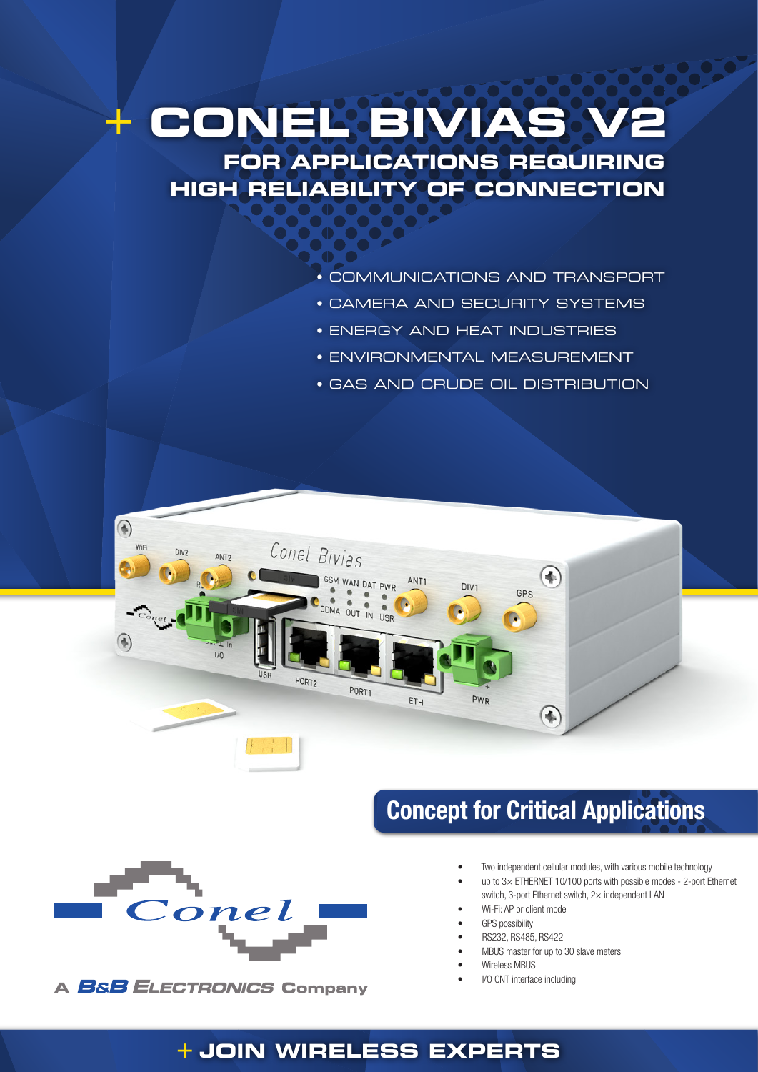# + **CONEL BIVIAS V2 FOR APPLICATIONS REQUIRING**

**HIGH RELIABILITY OF CONNECTION**

- COMMUNICATIONS AND TRANSPORT
- CAMERA AND SECURITY SYSTEMS
- ENERGY AND HEAT INDUSTRIES
- ENVIRONMENTAL MEASUREMENT
- GAS AND CRUDE OIL DISTRIBUTION





**A BSB ELECTRONICS Company** 

## Concept for Critical Applications

- Two independent cellular modules, with various mobile technology
- up to  $3\times$  ETHERNET 10/100 ports with possible modes 2-port Ethernet switch, 3-port Ethernet switch, 2× independent LAN
- Wi-Fi: AP or client mode
- **GPS** possibility
- RS232, RS485, RS422
- MBUS master for up to 30 slave meters
- Wireless MBUS
- I/O CNT interface including

### + **JOIN WIRELESS EXPERTS**